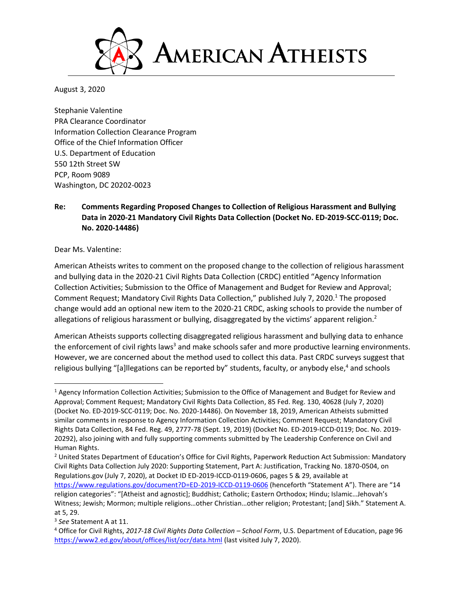

August 3, 2020

Stephanie Valentine PRA Clearance Coordinator Information Collection Clearance Program Office of the Chief Information Officer U.S. Department of Education 550 12th Street SW PCP, Room 9089 Washington, DC 20202-0023

# **Re: Comments Regarding Proposed Changes to Collection of Religious Harassment and Bullying Data in 2020-21 Mandatory Civil Rights Data Collection (Docket No. ED-2019-SCC-0119; Doc. No. 2020-14486)**

#### Dear Ms. Valentine:

American Atheists writes to comment on the proposed change to the collection of religious harassment and bullying data in the 2020-21 Civil Rights Data Collection (CRDC) entitled "Agency Information Collection Activities; Submission to the Office of Management and Budget for Review and Approval; Comment Request; Mandatory Civil Rights Data Collection," published July 7, 2020.<sup>1</sup> The proposed change would add an optional new item to the 2020-21 CRDC, asking schools to provide the number of allegations of religious harassment or bullying, disaggregated by the victims' apparent religion.<sup>2</sup>

American Atheists supports collecting disaggregated religious harassment and bullying data to enhance the enforcement of civil rights laws<sup>3</sup> and make schools safer and more productive learning environments. However, we are concerned about the method used to collect this data. Past CRDC surveys suggest that religious bullying "[a]llegations can be reported by" students, faculty, or anybody else,<sup>4</sup> and schools

<sup>2</sup> United States Department of Education's Office for Civil Rights, Paperwork Reduction Act Submission: Mandatory Civil Rights Data Collection July 2020: Supporting Statement, Part A: Justification, Tracking No. 1870-0504, on Regulations.gov (July 7, 2020), at Docket ID ED-2019-ICCD-0119-0606, pages 5 & 29, available at

<sup>1</sup> Agency Information Collection Activities; Submission to the Office of Management and Budget for Review and Approval; Comment Request; Mandatory Civil Rights Data Collection, 85 Fed. Reg. 130, 40628 (July 7, 2020) (Docket No. ED-2019-SCC-0119; Doc. No. 2020-14486). On November 18, 2019, American Atheists submitted similar comments in response to Agency Information Collection Activities; Comment Request; Mandatory Civil Rights Data Collection, 84 Fed. Reg. 49, 2777-78 (Sept. 19, 2019) (Docket No. ED-2019-ICCD-0119; Doc. No. 2019- 20292), also joining with and fully supporting comments submitted by The Leadership Conference on Civil and Human Rights.

<https://www.regulations.gov/document?D=ED-2019-ICCD-0119-0606> (henceforth "Statement A"). There are "14 religion categories": "[Atheist and agnostic]; Buddhist; Catholic; Eastern Orthodox; Hindu; Islamic…Jehovah's Witness; Jewish; Mormon; multiple religions…other Christian…other religion; Protestant; [and] Sikh." Statement A. at 5, 29.

<sup>3</sup> *See* Statement A at 11.

<sup>4</sup> Office for Civil Rights, *2017-18 Civil Rights Data Collection – School Form*, U.S. Department of Education, page 96 <https://www2.ed.gov/about/offices/list/ocr/data.html> (last visited July 7, 2020).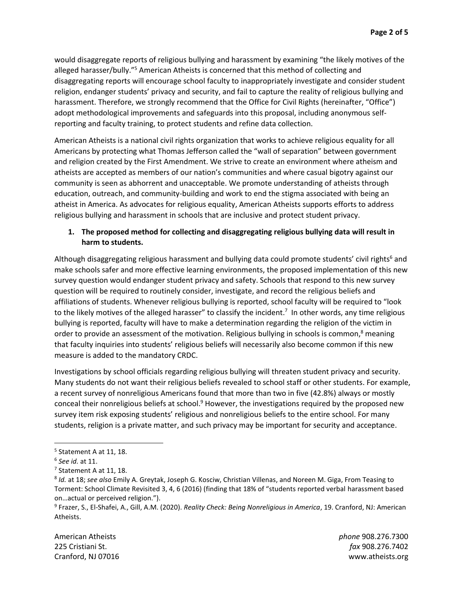would disaggregate reports of religious bullying and harassment by examining "the likely motives of the alleged harasser/bully."<sup>5</sup> American Atheists is concerned that this method of collecting and disaggregating reports will encourage school faculty to inappropriately investigate and consider student religion, endanger students' privacy and security, and fail to capture the reality of religious bullying and harassment. Therefore, we strongly recommend that the Office for Civil Rights (hereinafter, "Office") adopt methodological improvements and safeguards into this proposal, including anonymous selfreporting and faculty training, to protect students and refine data collection.

American Atheists is a national civil rights organization that works to achieve religious equality for all Americans by protecting what Thomas Jefferson called the "wall of separation" between government and religion created by the First Amendment. We strive to create an environment where atheism and atheists are accepted as members of our nation's communities and where casual bigotry against our community is seen as abhorrent and unacceptable. We promote understanding of atheists through education, outreach, and community-building and work to end the stigma associated with being an atheist in America. As advocates for religious equality, American Atheists supports efforts to address religious bullying and harassment in schools that are inclusive and protect student privacy.

## **1. The proposed method for collecting and disaggregating religious bullying data will result in harm to students.**

Although disaggregating religious harassment and bullying data could promote students' civil rights<sup>6</sup> and make schools safer and more effective learning environments, the proposed implementation of this new survey question would endanger student privacy and safety. Schools that respond to this new survey question will be required to routinely consider, investigate, and record the religious beliefs and affiliations of students. Whenever religious bullying is reported, school faculty will be required to "look to the likely motives of the alleged harasser" to classify the incident.<sup>7</sup> In other words, any time religious bullying is reported, faculty will have to make a determination regarding the religion of the victim in order to provide an assessment of the motivation. Religious bullying in schools is common,<sup>8</sup> meaning that faculty inquiries into students' religious beliefs will necessarily also become common if this new measure is added to the mandatory CRDC.

Investigations by school officials regarding religious bullying will threaten student privacy and security. Many students do not want their religious beliefs revealed to school staff or other students. For example, a recent survey of nonreligious Americans found that more than two in five (42.8%) always or mostly conceal their nonreligious beliefs at school.<sup>9</sup> However, the investigations required by the proposed new survey item risk exposing students' religious and nonreligious beliefs to the entire school. For many students, religion is a private matter, and such privacy may be important for security and acceptance.

American Atheists *phone* 908.276.7300 225 Cristiani St. *fax* 908.276.7402 Cranford, NJ 07016 www.atheists.org

<sup>&</sup>lt;sup>5</sup> Statement A at 11, 18.

<sup>6</sup> *See id.* at 11.

<sup>7</sup> Statement A at 11, 18.

<sup>8</sup> *Id.* at 18; *see also* Emily A. Greytak, Joseph G. Kosciw, Christian Villenas, and Noreen M. Giga, From Teasing to Torment: School Climate Revisited 3, 4, 6 (2016) (finding that 18% of "students reported verbal harassment based on…actual or perceived religion.").

<sup>9</sup> Frazer, S., El-Shafei, A., Gill, A.M. (2020). *Reality Check: Being Nonreligious in America*, 19. Cranford, NJ: American Atheists.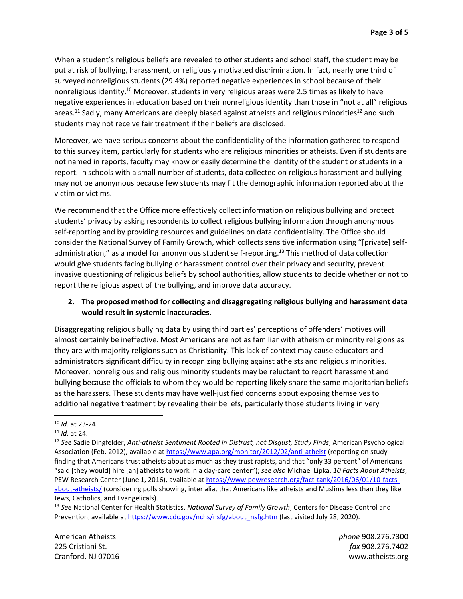When a student's religious beliefs are revealed to other students and school staff, the student may be put at risk of bullying, harassment, or religiously motivated discrimination. In fact, nearly one third of surveyed nonreligious students (29.4%) reported negative experiences in school because of their nonreligious identity.<sup>10</sup> Moreover, students in very religious areas were 2.5 times as likely to have negative experiences in education based on their nonreligious identity than those in "not at all" religious areas.<sup>11</sup> Sadly, many Americans are deeply biased against atheists and religious minorities<sup>12</sup> and such students may not receive fair treatment if their beliefs are disclosed.

Moreover, we have serious concerns about the confidentiality of the information gathered to respond to this survey item, particularly for students who are religious minorities or atheists. Even if students are not named in reports, faculty may know or easily determine the identity of the student or students in a report. In schools with a small number of students, data collected on religious harassment and bullying may not be anonymous because few students may fit the demographic information reported about the victim or victims.

We recommend that the Office more effectively collect information on religious bullying and protect students' privacy by asking respondents to collect religious bullying information through anonymous self-reporting and by providing resources and guidelines on data confidentiality. The Office should consider the National Survey of Family Growth, which collects sensitive information using "[private] selfadministration," as a model for anonymous student self-reporting.<sup>13</sup> This method of data collection would give students facing bullying or harassment control over their privacy and security, prevent invasive questioning of religious beliefs by school authorities, allow students to decide whether or not to report the religious aspect of the bullying, and improve data accuracy.

### **2. The proposed method for collecting and disaggregating religious bullying and harassment data would result in systemic inaccuracies.**

Disaggregating religious bullying data by using third parties' perceptions of offenders' motives will almost certainly be ineffective. Most Americans are not as familiar with atheism or minority religions as they are with majority religions such as Christianity. This lack of context may cause educators and administrators significant difficulty in recognizing bullying against atheists and religious minorities. Moreover, nonreligious and religious minority students may be reluctant to report harassment and bullying because the officials to whom they would be reporting likely share the same majoritarian beliefs as the harassers. These students may have well-justified concerns about exposing themselves to additional negative treatment by revealing their beliefs, particularly those students living in very

American Atheists *phone* 908.276.7300 225 Cristiani St. *fax* 908.276.7402 Cranford, NJ 07016 www.atheists.org

<sup>10</sup> *Id.* at 23-24.

<sup>11</sup> *Id.* at 24.

<sup>12</sup> *See* Sadie Dingfelder, *Anti-atheist Sentiment Rooted in Distrust, not Disgust, Study Finds*, American Psychological Association (Feb. 2012), available at <https://www.apa.org/monitor/2012/02/anti-atheist> (reporting on study finding that Americans trust atheists about as much as they trust rapists, and that "only 33 percent" of Americans "said [they would] hire [an] atheists to work in a day-care center"); *see also* Michael Lipka, *10 Facts About Atheists*, PEW Research Center (June 1, 2016), available a[t https://www.pewresearch.org/fact-tank/2016/06/01/10-facts](https://www.pewresearch.org/fact-tank/2016/06/01/10-facts-about-atheists/)[about-atheists/](https://www.pewresearch.org/fact-tank/2016/06/01/10-facts-about-atheists/) (considering polls showing, inter alia, that Americans like atheists and Muslims less than they like Jews, Catholics, and Evangelicals).

<sup>13</sup> *See* National Center for Health Statistics, *National Survey of Family Growth*, Centers for Disease Control and Prevention, available at [https://www.cdc.gov/nchs/nsfg/about\\_nsfg.htm](https://www.cdc.gov/nchs/nsfg/about_nsfg.htm) (last visited July 28, 2020).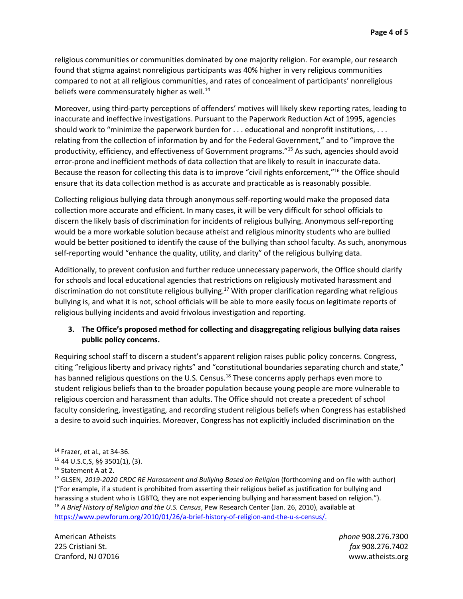religious communities or communities dominated by one majority religion. For example, our research found that stigma against nonreligious participants was 40% higher in very religious communities compared to not at all religious communities, and rates of concealment of participants' nonreligious beliefs were commensurately higher as well.<sup>14</sup>

Moreover, using third-party perceptions of offenders' motives will likely skew reporting rates, leading to inaccurate and ineffective investigations. Pursuant to the Paperwork Reduction Act of 1995, agencies should work to "minimize the paperwork burden for . . . educational and nonprofit institutions, . . . relating from the collection of information by and for the Federal Government," and to "improve the productivity, efficiency, and effectiveness of Government programs."<sup>15</sup> As such, agencies should avoid error-prone and inefficient methods of data collection that are likely to result in inaccurate data. Because the reason for collecting this data is to improve "civil rights enforcement,"<sup>16</sup> the Office should ensure that its data collection method is as accurate and practicable as is reasonably possible.

Collecting religious bullying data through anonymous self-reporting would make the proposed data collection more accurate and efficient. In many cases, it will be very difficult for school officials to discern the likely basis of discrimination for incidents of religious bullying. Anonymous self-reporting would be a more workable solution because atheist and religious minority students who are bullied would be better positioned to identify the cause of the bullying than school faculty. As such, anonymous self-reporting would "enhance the quality, utility, and clarity" of the religious bullying data.

Additionally, to prevent confusion and further reduce unnecessary paperwork, the Office should clarify for schools and local educational agencies that restrictions on religiously motivated harassment and discrimination do not constitute religious bullying.<sup>17</sup> With proper clarification regarding what religious bullying is, and what it is not, school officials will be able to more easily focus on legitimate reports of religious bullying incidents and avoid frivolous investigation and reporting.

# **3. The Office's proposed method for collecting and disaggregating religious bullying data raises public policy concerns.**

Requiring school staff to discern a student's apparent religion raises public policy concerns. Congress, citing "religious liberty and privacy rights" and "constitutional boundaries separating church and state," has banned religious questions on the U.S. Census.<sup>18</sup> These concerns apply perhaps even more to student religious beliefs than to the broader population because young people are more vulnerable to religious coercion and harassment than adults. The Office should not create a precedent of school faculty considering, investigating, and recording student religious beliefs when Congress has established a desire to avoid such inquiries. Moreover, Congress has not explicitly included discrimination on the

<sup>14</sup> Frazer, et al., at 34-36.

<sup>15</sup> 44 U.S.C,S, §§ 3501(1), (3).

<sup>&</sup>lt;sup>16</sup> Statement A at 2.

<sup>&</sup>lt;sup>17</sup> GLSEN, 2019-2020 CRDC RE Harassment and Bullying Based on Religion (forthcoming and on file with author) ("For example, if a student is prohibited from asserting their religious belief as justification for bullying and harassing a student who is LGBTQ, they are not experiencing bullying and harassment based on religion."). <sup>18</sup> *A Brief History of Religion and the U.S. Census*, Pew Research Center (Jan. 26, 2010), available at https://www.pewforum.org/2010/01/26/a-brief-history-of-religion-and-the-u-s-census/.